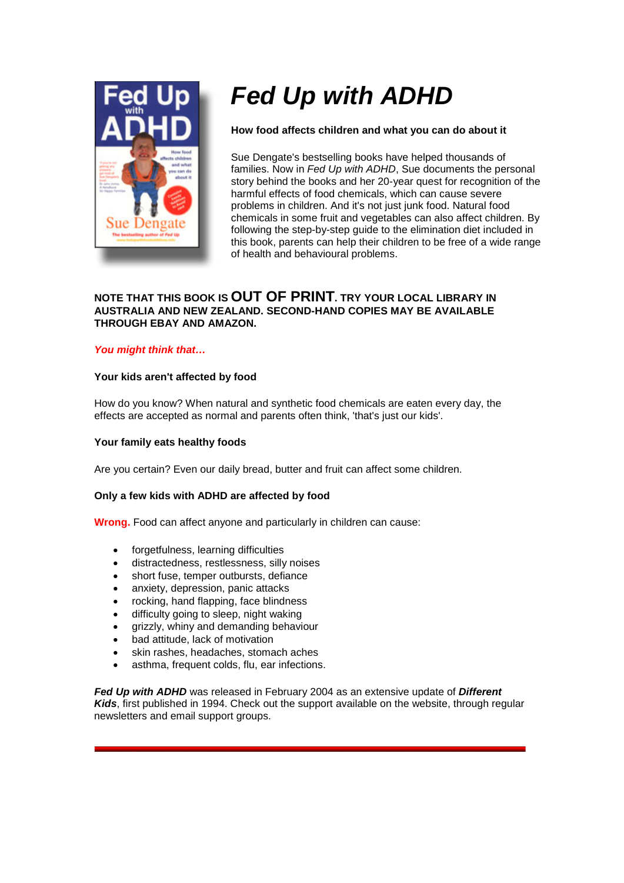

# *Fed Up with ADHD*

# **How food affects children and what you can do about it**

Sue Dengate's bestselling books have helped thousands of families. Now in *Fed Up with ADHD*, Sue documents the personal story behind the books and her 20-year quest for recognition of the harmful effects of food chemicals, which can cause severe problems in children. And it's not just junk food. Natural food chemicals in some fruit and vegetables can also affect children. By following the step-by-step guide to the elimination diet included in this book, parents can help their children to be free of a wide range of health and behavioural problems.

# **NOTE THAT THIS BOOK IS OUT OF PRINT. TRY YOUR LOCAL LIBRARY IN AUSTRALIA AND NEW ZEALAND. SECOND-HAND COPIES MAY BE AVAILABLE THROUGH EBAY AND AMAZON.**

## *You might think that…*

## **Your kids aren't affected by food**

How do you know? When natural and synthetic food chemicals are eaten every day, the effects are accepted as normal and parents often think, 'that's just our kids'.

#### **Your family eats healthy foods**

Are you certain? Even our daily bread, butter and fruit can affect some children.

## **Only a few kids with ADHD are affected by food**

**Wrong.** Food can affect anyone and particularly in children can cause:

- forgetfulness, learning difficulties
- distractedness, restlessness, silly noises
- short fuse, temper outbursts, defiance
- anxiety, depression, panic attacks
- rocking, hand flapping, face blindness
- difficulty going to sleep, night waking
- grizzly, whiny and demanding behaviour
- bad attitude, lack of motivation
- skin rashes, headaches, stomach aches
- asthma, frequent colds, flu, ear infections.

*Fed Up with ADHD* was released in February 2004 as an extensive update of *Different Kids*, first published in 1994. Check out the support available on the website, through regular newsletters and email support groups.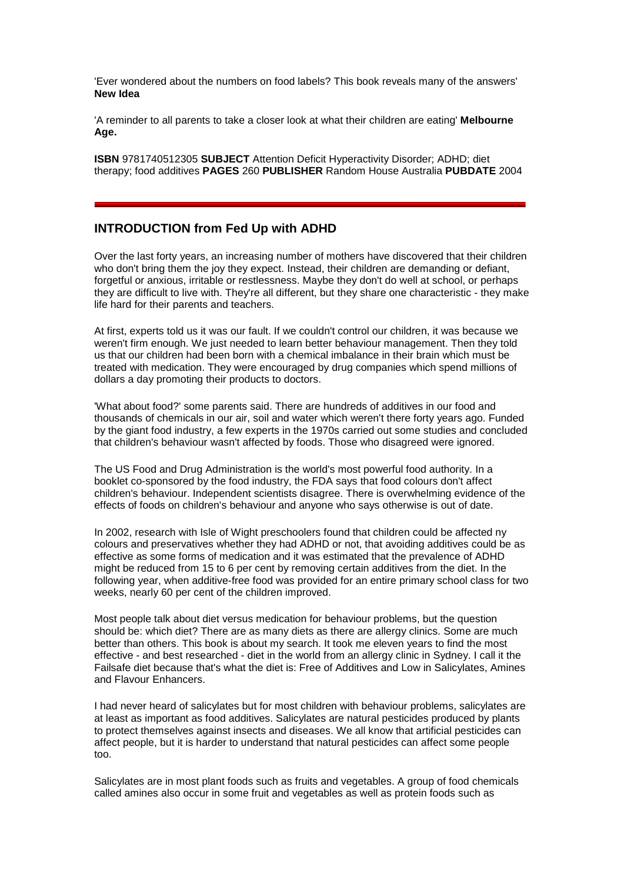'Ever wondered about the numbers on food labels? This book reveals many of the answers' **New Idea**

'A reminder to all parents to take a closer look at what their children are eating' **Melbourne Age.**

**ISBN** 9781740512305 **SUBJECT** Attention Deficit Hyperactivity Disorder; ADHD; diet therapy; food additives **PAGES** 260 **PUBLISHER** Random House Australia **PUBDATE** 2004

# **INTRODUCTION from Fed Up with ADHD**

Over the last forty years, an increasing number of mothers have discovered that their children who don't bring them the joy they expect. Instead, their children are demanding or defiant, forgetful or anxious, irritable or restlessness. Maybe they don't do well at school, or perhaps they are difficult to live with. They're all different, but they share one characteristic - they make life hard for their parents and teachers.

At first, experts told us it was our fault. If we couldn't control our children, it was because we weren't firm enough. We just needed to learn better behaviour management. Then they told us that our children had been born with a chemical imbalance in their brain which must be treated with medication. They were encouraged by drug companies which spend millions of dollars a day promoting their products to doctors.

'What about food?' some parents said. There are hundreds of additives in our food and thousands of chemicals in our air, soil and water which weren't there forty years ago. Funded by the giant food industry, a few experts in the 1970s carried out some studies and concluded that children's behaviour wasn't affected by foods. Those who disagreed were ignored.

The US Food and Drug Administration is the world's most powerful food authority. In a booklet co-sponsored by the food industry, the FDA says that food colours don't affect children's behaviour. Independent scientists disagree. There is overwhelming evidence of the effects of foods on children's behaviour and anyone who says otherwise is out of date.

In 2002, research with Isle of Wight preschoolers found that children could be affected ny colours and preservatives whether they had ADHD or not, that avoiding additives could be as effective as some forms of medication and it was estimated that the prevalence of ADHD might be reduced from 15 to 6 per cent by removing certain additives from the diet. In the following year, when additive-free food was provided for an entire primary school class for two weeks, nearly 60 per cent of the children improved.

Most people talk about diet versus medication for behaviour problems, but the question should be: which diet? There are as many diets as there are allergy clinics. Some are much better than others. This book is about my search. It took me eleven years to find the most effective - and best researched - diet in the world from an allergy clinic in Sydney. I call it the Failsafe diet because that's what the diet is: Free of Additives and Low in Salicylates, Amines and Flavour Enhancers.

I had never heard of salicylates but for most children with behaviour problems, salicylates are at least as important as food additives. Salicylates are natural pesticides produced by plants to protect themselves against insects and diseases. We all know that artificial pesticides can affect people, but it is harder to understand that natural pesticides can affect some people too.

Salicylates are in most plant foods such as fruits and vegetables. A group of food chemicals called amines also occur in some fruit and vegetables as well as protein foods such as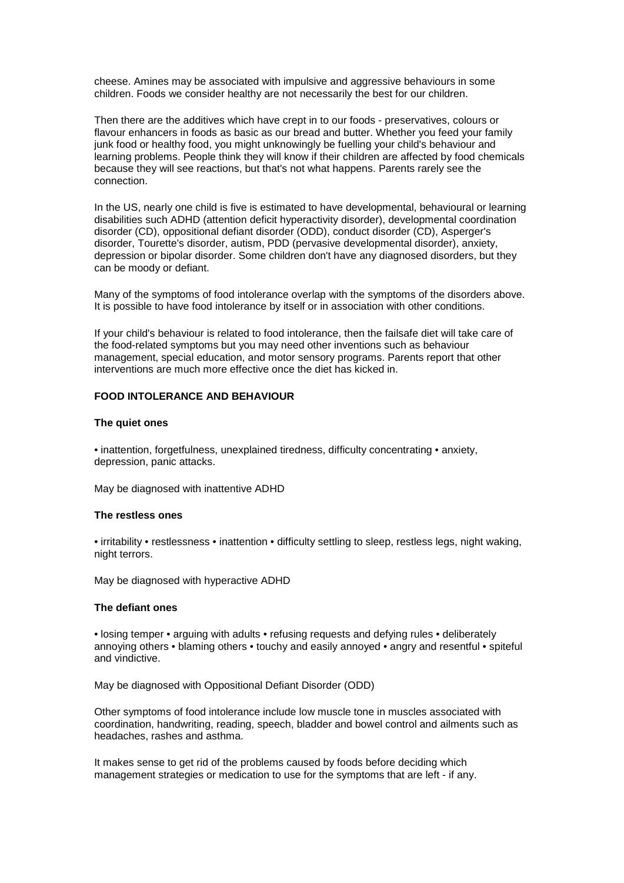cheese. Amines may be associated with impulsive and aggressive behaviours in some children. Foods we consider healthy are not necessarily the best for our children.

Then there are the additives which have crept in to our foods - preservatives, colours or flavour enhancers in foods as basic as our bread and butter. Whether you feed your family junk food or healthy food, you might unknowingly be fuelling your child's behaviour and learning problems. People think they will know if their children are affected by food chemicals because they will see reactions, but that's not what happens. Parents rarely see the connection.

In the US, nearly one child is five is estimated to have developmental, behavioural or learning disabilities such ADHD (attention deficit hyperactivity disorder), developmental coordination disorder (CD), oppositional defiant disorder (ODD), conduct disorder (CD), Asperger's disorder, Tourette's disorder, autism, PDD (pervasive developmental disorder), anxiety, depression or bipolar disorder. Some children don't have any diagnosed disorders, but they can be moody or defiant.

Many of the symptoms of food intolerance overlap with the symptoms of the disorders above. It is possible to have food intolerance by itself or in association with other conditions.

If your child's behaviour is related to food intolerance, then the failsafe diet will take care of the food-related symptoms but you may need other inventions such as behaviour management, special education, and motor sensory programs. Parents report that other interventions are much more effective once the diet has kicked in.

# **FOOD INTOLERANCE AND BEHAVIOUR**

#### **The quiet ones**

• inattention, forgetfulness, unexplained tiredness, difficulty concentrating • anxiety, depression, panic attacks.

May be diagnosed with inattentive ADHD

#### **The restless ones**

• irritability • restlessness • inattention • difficulty settling to sleep, restless legs, night waking, night terrors.

May be diagnosed with hyperactive ADHD

#### **The defiant ones**

• losing temper • arguing with adults • refusing requests and defying rules • deliberately annoying others • blaming others • touchy and easily annoyed • angry and resentful • spiteful and vindictive.

May be diagnosed with Oppositional Defiant Disorder (ODD)

Other symptoms of food intolerance include low muscle tone in muscles associated with coordination, handwriting, reading, speech, bladder and bowel control and ailments such as headaches, rashes and asthma.

It makes sense to get rid of the problems caused by foods before deciding which management strategies or medication to use for the symptoms that are left - if any.